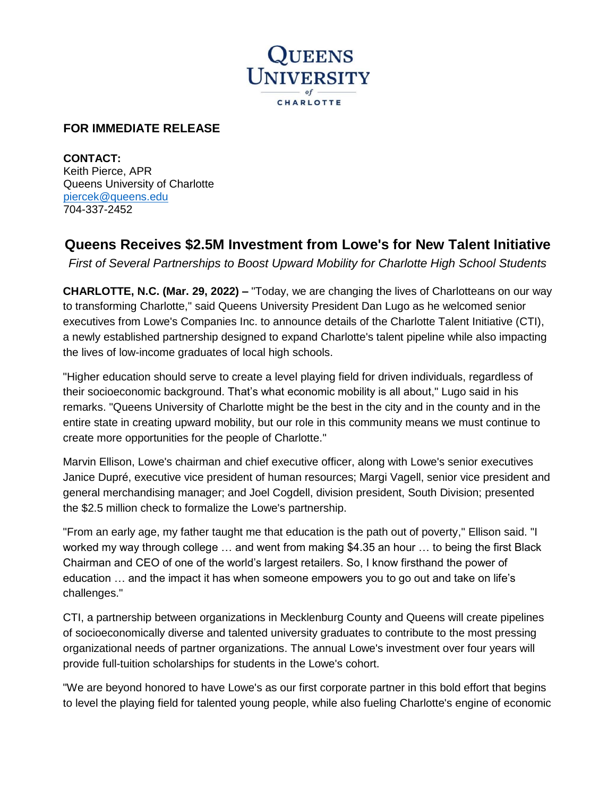

## **FOR IMMEDIATE RELEASE**

**CONTACT:**  Keith Pierce, APR Queens University of Charlotte [piercek@queens.edu](mailto:piercek@queens.edu) 704-337-2452

## **Queens Receives \$2.5M Investment from Lowe's for New Talent Initiative**

*First of Several Partnerships to Boost Upward Mobility for Charlotte High School Students* 

**CHARLOTTE, N.C. (Mar. 29, 2022) –** "Today, we are changing the lives of Charlotteans on our way to transforming Charlotte," said Queens University President Dan Lugo as he welcomed senior executives from Lowe's Companies Inc. to announce details of the Charlotte Talent Initiative (CTI), a newly established partnership designed to expand Charlotte's talent pipeline while also impacting the lives of low-income graduates of local high schools.

"Higher education should serve to create a level playing field for driven individuals, regardless of their socioeconomic background. That's what economic mobility is all about," Lugo said in his remarks. "Queens University of Charlotte might be the best in the city and in the county and in the entire state in creating upward mobility, but our role in this community means we must continue to create more opportunities for the people of Charlotte."

Marvin Ellison, Lowe's chairman and chief executive officer, along with Lowe's senior executives Janice Dupré, executive vice president of human resources; Margi Vagell, senior vice president and general merchandising manager; and Joel Cogdell, division president, South Division; presented the \$2.5 million check to formalize the Lowe's partnership.

"From an early age, my father taught me that education is the path out of poverty," Ellison said. "I worked my way through college … and went from making \$4.35 an hour … to being the first Black Chairman and CEO of one of the world's largest retailers. So, I know firsthand the power of education … and the impact it has when someone empowers you to go out and take on life's challenges."

CTI, a partnership between organizations in Mecklenburg County and Queens will create pipelines of socioeconomically diverse and talented university graduates to contribute to the most pressing organizational needs of partner organizations. The annual Lowe's investment over four years will provide full-tuition scholarships for students in the Lowe's cohort.

"We are beyond honored to have Lowe's as our first corporate partner in this bold effort that begins to level the playing field for talented young people, while also fueling Charlotte's engine of economic